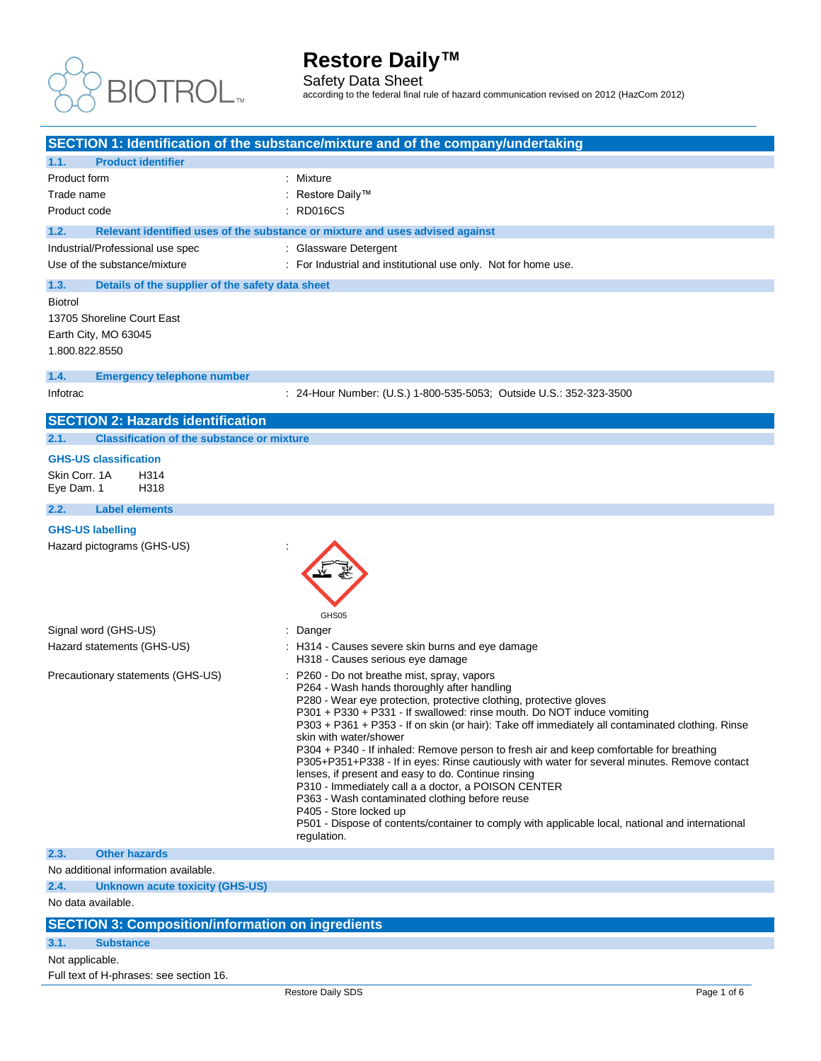

Safety Data Sheet

according to the federal final rule of hazard communication revised on 2012 (HazCom 2012)

|                                                           | SECTION 1: Identification of the substance/mixture and of the company/undertaking                                                                   |
|-----------------------------------------------------------|-----------------------------------------------------------------------------------------------------------------------------------------------------|
| 1.1.<br><b>Product identifier</b>                         |                                                                                                                                                     |
| Product form                                              | : Mixture                                                                                                                                           |
| Trade name                                                | : Restore Daily™                                                                                                                                    |
| Product code                                              | : RD016CS                                                                                                                                           |
| 1.2.                                                      | Relevant identified uses of the substance or mixture and uses advised against                                                                       |
| Industrial/Professional use spec                          | : Glassware Detergent                                                                                                                               |
| Use of the substance/mixture                              | : For Industrial and institutional use only. Not for home use.                                                                                      |
| 1.3.<br>Details of the supplier of the safety data sheet  |                                                                                                                                                     |
| <b>Biotrol</b>                                            |                                                                                                                                                     |
| 13705 Shoreline Court East                                |                                                                                                                                                     |
| Earth City, MO 63045                                      |                                                                                                                                                     |
| 1.800.822.8550                                            |                                                                                                                                                     |
|                                                           |                                                                                                                                                     |
| 1.4.<br><b>Emergency telephone number</b>                 |                                                                                                                                                     |
| Infotrac                                                  | : 24-Hour Number: (U.S.) 1-800-535-5053; Outside U.S.: 352-323-3500                                                                                 |
| <b>SECTION 2: Hazards identification</b>                  |                                                                                                                                                     |
| <b>Classification of the substance or mixture</b><br>2.1. |                                                                                                                                                     |
|                                                           |                                                                                                                                                     |
| <b>GHS-US classification</b>                              |                                                                                                                                                     |
| Skin Corr. 1A<br>H314<br>H318<br>Eye Dam. 1               |                                                                                                                                                     |
|                                                           |                                                                                                                                                     |
| 2.2.<br><b>Label elements</b>                             |                                                                                                                                                     |
| <b>GHS-US labelling</b>                                   |                                                                                                                                                     |
| Hazard pictograms (GHS-US)                                |                                                                                                                                                     |
|                                                           |                                                                                                                                                     |
|                                                           |                                                                                                                                                     |
|                                                           |                                                                                                                                                     |
|                                                           | GHS05                                                                                                                                               |
| Signal word (GHS-US)                                      | Danger                                                                                                                                              |
| Hazard statements (GHS-US)                                | H314 - Causes severe skin burns and eye damage                                                                                                      |
|                                                           | H318 - Causes serious eye damage                                                                                                                    |
| Precautionary statements (GHS-US)                         | P260 - Do not breathe mist, spray, vapors                                                                                                           |
|                                                           | P264 - Wash hands thoroughly after handling                                                                                                         |
|                                                           | P280 - Wear eye protection, protective clothing, protective gloves<br>P301 + P330 + P331 - If swallowed: rinse mouth. Do NOT induce vomiting        |
|                                                           | P303 + P361 + P353 - If on skin (or hair): Take off immediately all contaminated clothing. Rinse                                                    |
|                                                           | skin with water/shower                                                                                                                              |
|                                                           | P304 + P340 - If inhaled: Remove person to fresh air and keep comfortable for breathing                                                             |
|                                                           | P305+P351+P338 - If in eyes: Rinse cautiously with water for several minutes. Remove contact<br>lenses, if present and easy to do. Continue rinsing |
|                                                           | P310 - Immediately call a a doctor, a POISON CENTER                                                                                                 |
|                                                           | P363 - Wash contaminated clothing before reuse                                                                                                      |
|                                                           | P405 - Store locked up                                                                                                                              |
|                                                           | P501 - Dispose of contents/container to comply with applicable local, national and international<br>regulation.                                     |
| 2.3.<br><b>Other hazards</b>                              |                                                                                                                                                     |
| No additional information available.                      |                                                                                                                                                     |
| 2.4.<br><b>Unknown acute toxicity (GHS-US)</b>            |                                                                                                                                                     |
| No data available.                                        |                                                                                                                                                     |
| <b>CECTION 2: Composition/information on ingradiants</b>  |                                                                                                                                                     |

#### **SECTION 3: Composition/information on ingredient**

#### **3.1. Substance**

Not applicable.

Full text of H-phrases: see section 16.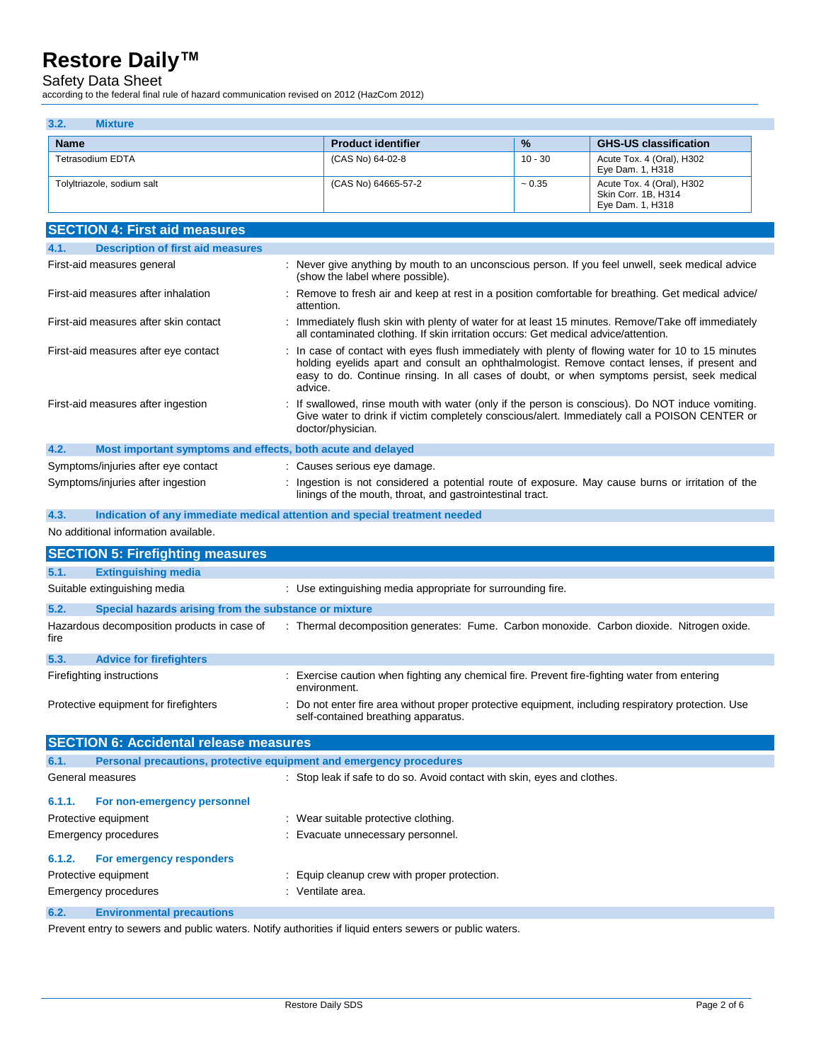Safety Data Sheet

according to the federal final rule of hazard communication revised on 2012 (HazCom 2012)

| 3.2.<br><b>Mixture</b>     |                           |               |                                                                      |
|----------------------------|---------------------------|---------------|----------------------------------------------------------------------|
| <b>Name</b>                | <b>Product identifier</b> | $\frac{9}{6}$ | <b>GHS-US classification</b>                                         |
| Tetrasodium EDTA           | (CAS No) 64-02-8          | $10 - 30$     | Acute Tox. 4 (Oral), H302<br>Eye Dam. 1, H318                        |
| Tolyltriazole, sodium salt | (CAS No) 64665-57-2       | $~1$ - 0.35   | Acute Tox. 4 (Oral), H302<br>Skin Corr. 1B, H314<br>Eye Dam. 1, H318 |

| <b>SECTION 4: First aid measures</b>                                |                                                                                                                                                                                                                                                                                                             |
|---------------------------------------------------------------------|-------------------------------------------------------------------------------------------------------------------------------------------------------------------------------------------------------------------------------------------------------------------------------------------------------------|
| 4.1.<br><b>Description of first aid measures</b>                    |                                                                                                                                                                                                                                                                                                             |
| First-aid measures general                                          | : Never give anything by mouth to an unconscious person. If you feel unwell, seek medical advice<br>(show the label where possible).                                                                                                                                                                        |
| First-aid measures after inhalation                                 | : Remove to fresh air and keep at rest in a position comfortable for breathing. Get medical advice/<br>attention.                                                                                                                                                                                           |
| First-aid measures after skin contact                               | : Immediately flush skin with plenty of water for at least 15 minutes. Remove/Take off immediately<br>all contaminated clothing. If skin irritation occurs: Get medical advice/attention.                                                                                                                   |
| First-aid measures after eye contact                                | : In case of contact with eyes flush immediately with plenty of flowing water for 10 to 15 minutes<br>holding evelids apart and consult an ophthalmologist. Remove contact lenses, if present and<br>easy to do. Continue rinsing. In all cases of doubt, or when symptoms persist, seek medical<br>advice. |
| First-aid measures after ingestion                                  | : If swallowed, rinse mouth with water (only if the person is conscious). Do NOT induce vomiting.<br>Give water to drink if victim completely conscious/alert. Immediately call a POISON CENTER or<br>doctor/physician.                                                                                     |
| 4.2.<br>Most important symptoms and effects, both acute and delayed |                                                                                                                                                                                                                                                                                                             |
| Symptoms/injuries after eye contact                                 | Causes serious eye damage.                                                                                                                                                                                                                                                                                  |
| Symptoms/injuries after ingestion                                   | : Ingestion is not considered a potential route of exposure. May cause burns or irritation of the                                                                                                                                                                                                           |

linings of the mouth, throat, and gastrointestinal tract.

**4.3. Indication of any immediate medical attention and special treatment needed**

No additional information available.

|        | <b>SECTION 5: Firefighting measures</b>                             |                                                                                                                                            |
|--------|---------------------------------------------------------------------|--------------------------------------------------------------------------------------------------------------------------------------------|
| 5.1.   | <b>Extinguishing media</b>                                          |                                                                                                                                            |
|        | Suitable extinguishing media                                        | : Use extinguishing media appropriate for surrounding fire.                                                                                |
| 5.2.   | Special hazards arising from the substance or mixture               |                                                                                                                                            |
| fire   | Hazardous decomposition products in case of                         | : Thermal decomposition generates: Fume. Carbon monoxide. Carbon dioxide. Nitrogen oxide.                                                  |
| 5.3.   | <b>Advice for firefighters</b>                                      |                                                                                                                                            |
|        | Firefighting instructions                                           | : Exercise caution when fighting any chemical fire. Prevent fire-fighting water from entering<br>environment.                              |
|        | Protective equipment for firefighters                               | : Do not enter fire area without proper protective equipment, including respiratory protection. Use<br>self-contained breathing apparatus. |
|        | <b>SECTION 6: Accidental release measures</b>                       |                                                                                                                                            |
| 6.1.   | Personal precautions, protective equipment and emergency procedures |                                                                                                                                            |
|        | General measures                                                    | : Stop leak if safe to do so. Avoid contact with skin, eyes and clothes.                                                                   |
| 6.1.1. | For non-emergency personnel                                         |                                                                                                                                            |
|        | Protective equipment                                                | : Wear suitable protective clothing.                                                                                                       |
|        | Emergency procedures                                                | : Evacuate unnecessary personnel.                                                                                                          |
| 6.1.2. | For emergency responders                                            |                                                                                                                                            |

#### **6.2. Environmental precautions**

Emergency procedures in the set of the set of the Senate area.

Prevent entry to sewers and public waters. Notify authorities if liquid enters sewers or public waters.

Protective equipment **Equip COVER 1998** Frotective equipment  $\cdot$  Equip cleanup crew with proper protection.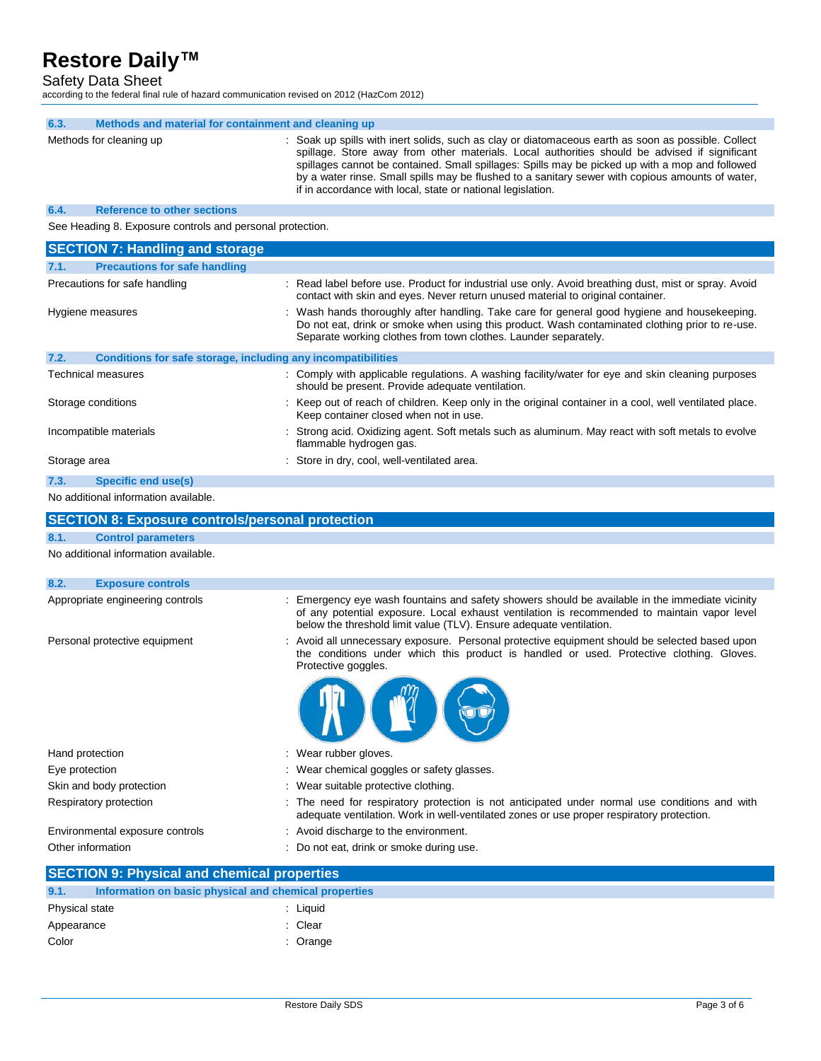#### Safety Data Sheet

according to the federal final rule of hazard communication revised on 2012 (HazCom 2012)

| 6.3.<br>Methods and material for containment and cleaning up         |                                                                                                                                                                                                                                                                                                                                                                                                                                                                            |
|----------------------------------------------------------------------|----------------------------------------------------------------------------------------------------------------------------------------------------------------------------------------------------------------------------------------------------------------------------------------------------------------------------------------------------------------------------------------------------------------------------------------------------------------------------|
| Methods for cleaning up                                              | : Soak up spills with inert solids, such as clay or diatomaceous earth as soon as possible. Collect<br>spillage. Store away from other materials. Local authorities should be advised if significant<br>spillages cannot be contained. Small spillages: Spills may be picked up with a mop and followed<br>by a water rinse. Small spills may be flushed to a sanitary sewer with copious amounts of water,<br>if in accordance with local, state or national legislation. |
| <b>Reference to other sections</b><br>6.4.                           |                                                                                                                                                                                                                                                                                                                                                                                                                                                                            |
| See Heading 8. Exposure controls and personal protection.            |                                                                                                                                                                                                                                                                                                                                                                                                                                                                            |
| <b>SECTION 7: Handling and storage</b>                               |                                                                                                                                                                                                                                                                                                                                                                                                                                                                            |
| <b>Precautions for safe handling</b><br>7.1.                         |                                                                                                                                                                                                                                                                                                                                                                                                                                                                            |
| Precautions for safe handling                                        | : Read label before use. Product for industrial use only. Avoid breathing dust, mist or spray. Avoid<br>contact with skin and eyes. Never return unused material to original container.                                                                                                                                                                                                                                                                                    |
| Hygiene measures                                                     | : Wash hands thoroughly after handling. Take care for general good hygiene and housekeeping.<br>Do not eat, drink or smoke when using this product. Wash contaminated clothing prior to re-use.<br>Separate working clothes from town clothes. Launder separately.                                                                                                                                                                                                         |
| Conditions for safe storage, including any incompatibilities<br>7.2. |                                                                                                                                                                                                                                                                                                                                                                                                                                                                            |
| <b>Technical measures</b>                                            | : Comply with applicable regulations. A washing facility/water for eye and skin cleaning purposes<br>should be present. Provide adequate ventilation.                                                                                                                                                                                                                                                                                                                      |
| Storage conditions                                                   | : Keep out of reach of children. Keep only in the original container in a cool, well ventilated place.<br>Keep container closed when not in use.                                                                                                                                                                                                                                                                                                                           |
| Incompatible materials                                               | : Strong acid. Oxidizing agent. Soft metals such as aluminum. May react with soft metals to evolve<br>flammable hydrogen gas.                                                                                                                                                                                                                                                                                                                                              |
| Storage area                                                         | Store in dry, cool, well-ventilated area.                                                                                                                                                                                                                                                                                                                                                                                                                                  |
| 7.3.<br>Specific end use(s)                                          |                                                                                                                                                                                                                                                                                                                                                                                                                                                                            |
| No additional information available.                                 |                                                                                                                                                                                                                                                                                                                                                                                                                                                                            |
| <b>SECTION 8: Exposure controls/personal protection</b>              |                                                                                                                                                                                                                                                                                                                                                                                                                                                                            |
| 8.1.<br><b>Control parameters</b>                                    |                                                                                                                                                                                                                                                                                                                                                                                                                                                                            |
| No additional information available.                                 |                                                                                                                                                                                                                                                                                                                                                                                                                                                                            |
| 8.2.<br><b>Exposure controls</b>                                     |                                                                                                                                                                                                                                                                                                                                                                                                                                                                            |
| Appropriate engineering controls                                     | Emergency eye wash fountains and safety showers should be available in the immediate vicinity<br>of any potential exposure. Local exhaust ventilation is recommended to maintain vapor level<br>below the threshold limit value (TLV). Ensure adequate ventilation.                                                                                                                                                                                                        |
| Personal protective equipment                                        | : Avoid all unnecessary exposure. Personal protective equipment should be selected based upon<br>the conditions under which this product is handled or used. Protective clothing. Gloves.<br>Protective goggles.                                                                                                                                                                                                                                                           |
|                                                                      |                                                                                                                                                                                                                                                                                                                                                                                                                                                                            |
| Hand protection                                                      | : Wear rubber gloves.                                                                                                                                                                                                                                                                                                                                                                                                                                                      |
| Eye protection                                                       | Wear chemical goggles or safety glasses.                                                                                                                                                                                                                                                                                                                                                                                                                                   |
| Skin and body protection                                             | : Wear suitable protective clothing.                                                                                                                                                                                                                                                                                                                                                                                                                                       |
| Respiratory protection                                               | : The need for respiratory protection is not anticipated under normal use conditions and with<br>adequate ventilation. Work in well-ventilated zones or use proper respiratory protection.                                                                                                                                                                                                                                                                                 |
| Environmental exposure controls                                      | : Avoid discharge to the environment.                                                                                                                                                                                                                                                                                                                                                                                                                                      |
| Other information                                                    | : Do not eat, drink or smoke during use.                                                                                                                                                                                                                                                                                                                                                                                                                                   |
| <b>SECTION 9: Physical and chemical properties</b>                   |                                                                                                                                                                                                                                                                                                                                                                                                                                                                            |
| Information on basic physical and chemical properties<br>9.1.        |                                                                                                                                                                                                                                                                                                                                                                                                                                                                            |
| Physical state                                                       | : Liquid                                                                                                                                                                                                                                                                                                                                                                                                                                                                   |
| Appearance                                                           | : Clear                                                                                                                                                                                                                                                                                                                                                                                                                                                                    |
| Color                                                                | : Orange                                                                                                                                                                                                                                                                                                                                                                                                                                                                   |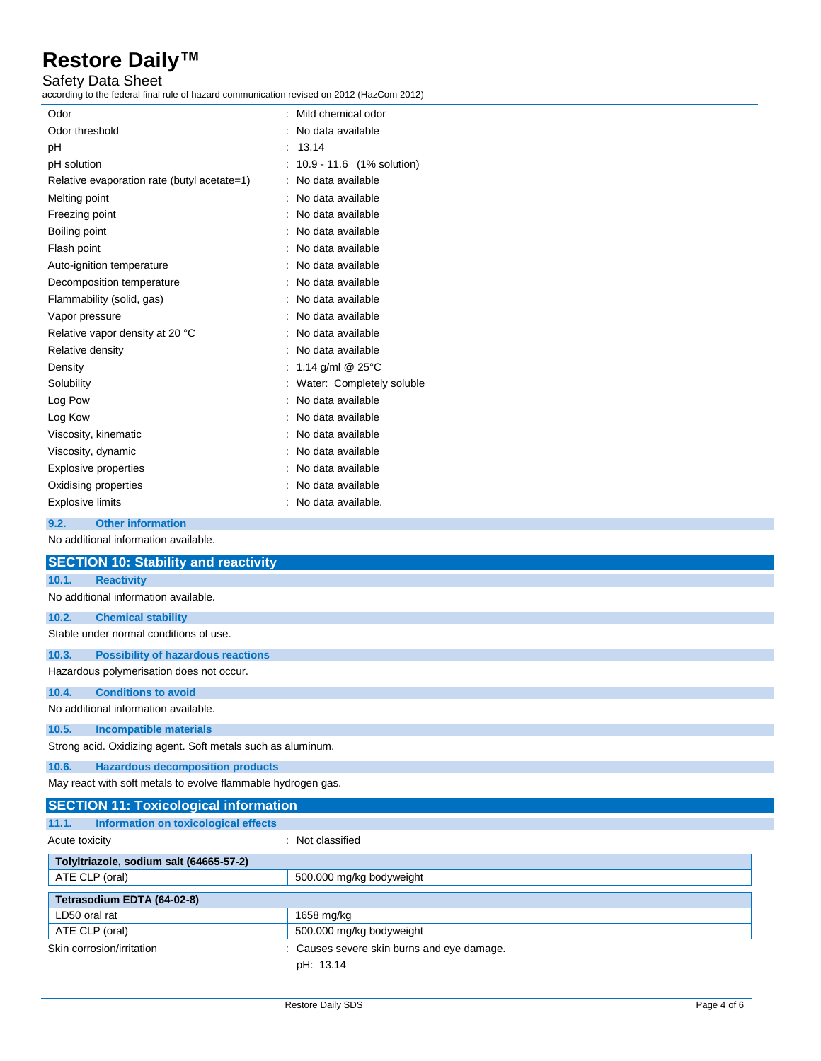Safety Data Sheet

according to the federal final rule of hazard communication revised on 2012 (HazCom 2012)

| Odor                                        | Mild chemical odor            |
|---------------------------------------------|-------------------------------|
| Odor threshold                              | No data available             |
| рH                                          | 13.14                         |
| pH solution                                 | 10.9 - 11.6 (1% solution)     |
| Relative evaporation rate (butyl acetate=1) | No data available             |
| Melting point                               | No data available             |
| Freezing point                              | No data available             |
| Boiling point                               | No data available             |
| Flash point                                 | No data available             |
| Auto-ignition temperature                   | No data available             |
| Decomposition temperature                   | No data available             |
| Flammability (solid, gas)                   | No data available             |
| Vapor pressure                              | No data available             |
| Relative vapor density at 20 °C             | No data available             |
| Relative density                            | No data available             |
| Density                                     | 1.14 $q/ml$ $@$ $25^{\circ}C$ |
| Solubility                                  | : Water: Completely soluble   |
| Log Pow                                     | No data available             |
| Log Kow                                     | No data available             |
| Viscosity, kinematic                        | No data available             |
| Viscosity, dynamic                          | No data available             |
| Explosive properties                        | No data available             |
| Oxidising properties                        | No data available             |
| Explosive limits                            | No data available.            |
|                                             |                               |

#### **9.2. Other information**

No additional information available.

|                | <b>SECTION 10: Stability and reactivity</b>                  |                                            |
|----------------|--------------------------------------------------------------|--------------------------------------------|
| 10.1.          | <b>Reactivity</b>                                            |                                            |
|                | No additional information available.                         |                                            |
| 10.2.          | <b>Chemical stability</b>                                    |                                            |
|                | Stable under normal conditions of use.                       |                                            |
| 10.3.          | <b>Possibility of hazardous reactions</b>                    |                                            |
|                | Hazardous polymerisation does not occur.                     |                                            |
| 10.4.          | <b>Conditions to avoid</b>                                   |                                            |
|                | No additional information available.                         |                                            |
| 10.5.          | <b>Incompatible materials</b>                                |                                            |
|                | Strong acid. Oxidizing agent. Soft metals such as aluminum.  |                                            |
| 10.6.          | <b>Hazardous decomposition products</b>                      |                                            |
|                | May react with soft metals to evolve flammable hydrogen gas. |                                            |
|                | <b>SECTION 11: Toxicological information</b>                 |                                            |
| 11.1.          | Information on toxicological effects                         |                                            |
| Acute toxicity |                                                              | : Not classified                           |
|                | Tolyltriazole, sodium salt (64665-57-2)                      |                                            |
| ATE CLP (oral) |                                                              | 500.000 mg/kg bodyweight                   |
|                | Tetrasodium EDTA (64-02-8)                                   |                                            |
| LD50 oral rat  |                                                              | 1658 mg/kg                                 |
| ATE CLP (oral) |                                                              | 500.000 mg/kg bodyweight                   |
|                | Skin corrosion/irritation                                    | : Causes severe skin burns and eye damage. |
|                |                                                              | pH: 13.14                                  |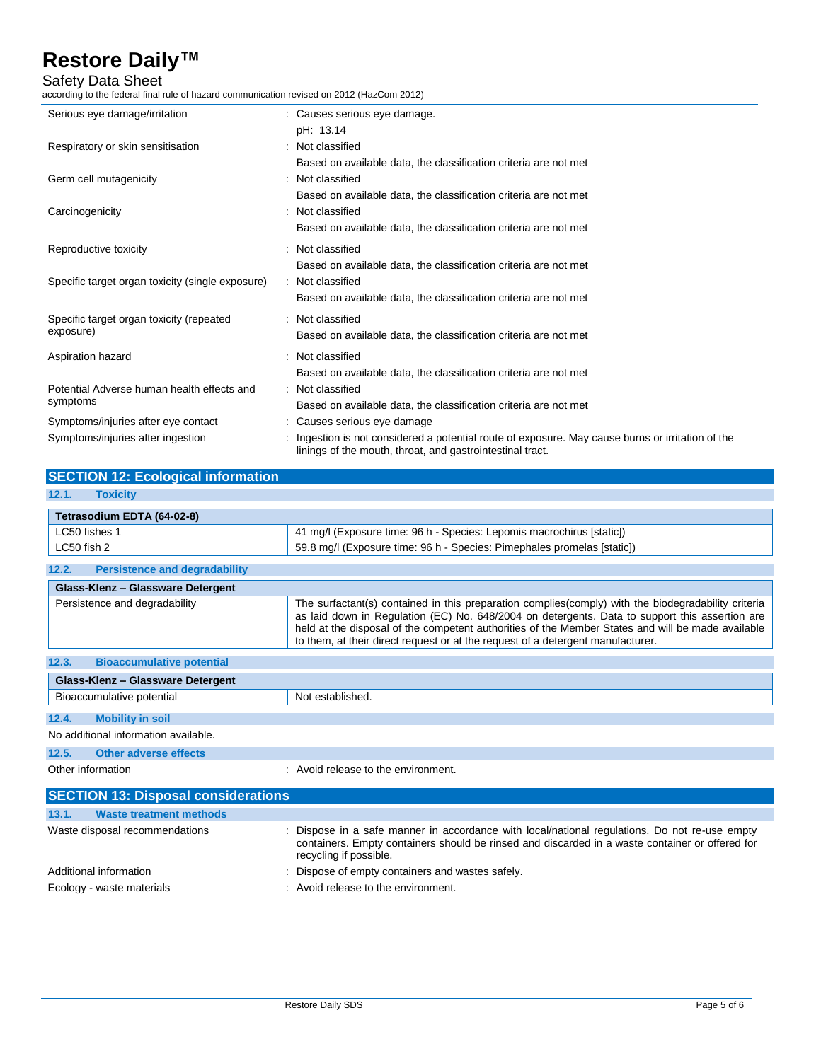Safety Data Sheet

according to the federal final rule of hazard communication revised on 2012 (HazCom 2012)

| Serious eye damage/irritation                                            | : Causes serious eye damage.<br>pH: 13.14                                                                                                                                                 |
|--------------------------------------------------------------------------|-------------------------------------------------------------------------------------------------------------------------------------------------------------------------------------------|
| Respiratory or skin sensitisation                                        | : Not classified<br>Based on available data, the classification criteria are not met                                                                                                      |
| Germ cell mutagenicity                                                   | : Not classified<br>Based on available data, the classification criteria are not met                                                                                                      |
| Carcinogenicity                                                          | : Not classified<br>Based on available data, the classification criteria are not met                                                                                                      |
| Reproductive toxicity                                                    | : Not classified<br>Based on available data, the classification criteria are not met                                                                                                      |
| Specific target organ toxicity (single exposure)                         | : Not classified<br>Based on available data, the classification criteria are not met                                                                                                      |
| Specific target organ toxicity (repeated<br>exposure)                    | : Not classified<br>Based on available data, the classification criteria are not met                                                                                                      |
| Aspiration hazard                                                        | : Not classified<br>Based on available data, the classification criteria are not met                                                                                                      |
| Potential Adverse human health effects and<br>symptoms                   | : Not classified<br>Based on available data, the classification criteria are not met                                                                                                      |
| Symptoms/injuries after eye contact<br>Symptoms/injuries after ingestion | Causes serious eye damage<br>Ingestion is not considered a potential route of exposure. May cause burns or irritation of the<br>linings of the mouth, throat, and gastrointestinal tract. |

| <b>SECTION 12: Ecological information</b>     |                                                                                                                                                                                                                                                                                                                                                                                               |
|-----------------------------------------------|-----------------------------------------------------------------------------------------------------------------------------------------------------------------------------------------------------------------------------------------------------------------------------------------------------------------------------------------------------------------------------------------------|
| 12.1.<br><b>Toxicity</b>                      |                                                                                                                                                                                                                                                                                                                                                                                               |
| Tetrasodium EDTA (64-02-8)                    |                                                                                                                                                                                                                                                                                                                                                                                               |
| LC50 fishes 1                                 | 41 mg/l (Exposure time: 96 h - Species: Lepomis macrochirus [static])                                                                                                                                                                                                                                                                                                                         |
| LC50 fish 2                                   | 59.8 mg/l (Exposure time: 96 h - Species: Pimephales promelas [static])                                                                                                                                                                                                                                                                                                                       |
| 12.2.<br><b>Persistence and degradability</b> |                                                                                                                                                                                                                                                                                                                                                                                               |
| Glass-Klenz - Glassware Detergent             |                                                                                                                                                                                                                                                                                                                                                                                               |
| Persistence and degradability                 | The surfactant(s) contained in this preparation complies(comply) with the biodegradability criteria<br>as laid down in Regulation (EC) No. 648/2004 on detergents. Data to support this assertion are<br>held at the disposal of the competent authorities of the Member States and will be made available<br>to them, at their direct request or at the request of a detergent manufacturer. |
| 12.3.<br><b>Bioaccumulative potential</b>     |                                                                                                                                                                                                                                                                                                                                                                                               |
| Glass-Klenz - Glassware Detergent             |                                                                                                                                                                                                                                                                                                                                                                                               |
| Bioaccumulative potential                     | Not established.                                                                                                                                                                                                                                                                                                                                                                              |
| <b>Mobility in soil</b><br>12.4.              |                                                                                                                                                                                                                                                                                                                                                                                               |
| No additional information available.          |                                                                                                                                                                                                                                                                                                                                                                                               |
| 12.5.<br><b>Other adverse effects</b>         |                                                                                                                                                                                                                                                                                                                                                                                               |
| Other information                             | : Avoid release to the environment.                                                                                                                                                                                                                                                                                                                                                           |

| <b>SECTION 13: Disposal considerations</b> |                                                                                                                                                                                                                            |  |
|--------------------------------------------|----------------------------------------------------------------------------------------------------------------------------------------------------------------------------------------------------------------------------|--|
| <b>Waste treatment methods</b><br>13.1.    |                                                                                                                                                                                                                            |  |
| Waste disposal recommendations             | : Dispose in a safe manner in accordance with local/national regulations. Do not re-use empty<br>containers. Empty containers should be rinsed and discarded in a waste container or offered for<br>recycling if possible. |  |
| Additional information                     | : Dispose of empty containers and wastes safely.                                                                                                                                                                           |  |
| Ecology - waste materials                  | : Avoid release to the environment.                                                                                                                                                                                        |  |